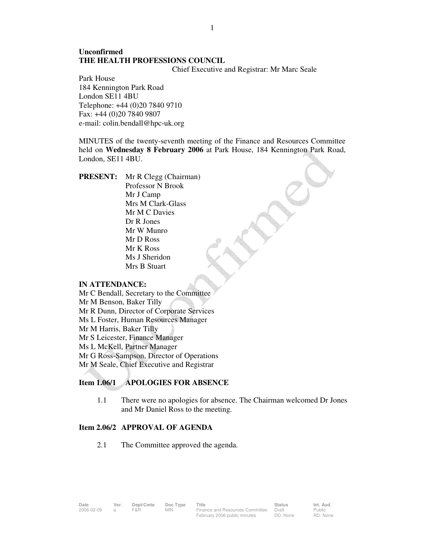# **Unconfirmed THE HEALTH PROFESSIONS COUNCIL**

Chief Executive and Registrar: Mr Marc Seale

Park House 184 Kennington Park Road London SE11 4BU Telephone: +44 (0)20 7840 9710 Fax: +44 (0)20 7840 9807 e-mail: colin.bendall@hpc-uk.org

MINUTES of the twenty-seventh meeting of the Finance and Resources Committee held on **Wednesday 8 February 2006** at Park House, 184 Kennington Park Road, London, SE11 4BU.

**PRESENT:** Mr R Clegg (Chairman) Professor N Brook Mr J Camp Mrs M Clark-Glass Mr M C Davies Dr R Jones Mr W Munro Mr D Ross Mr K Ross Ms J Sheridon Mrs B Stuart

#### **IN ATTENDANCE:**

Mr C Bendall, Secretary to the Committee Mr M Benson, Baker Tilly Mr R Dunn, Director of Corporate Services Ms L Foster, Human Resources Manager Mr M Harris, Baker Tilly Mr S Leicester, Finance Manager Ms L McKell, Partner Manager Mr G Ross-Sampson, Director of Operations Mr M Seale, Chief Executive and Registrar

## **Item 1.06/1 APOLOGIES FOR ABSENCE**

1.1 There were no apologies for absence. The Chairman welcomed Dr Jones and Mr Daniel Ross to the meeting.

#### **Item 2.06/2 APPROVAL OF AGENDA**

2.1 The Committee approved the agenda.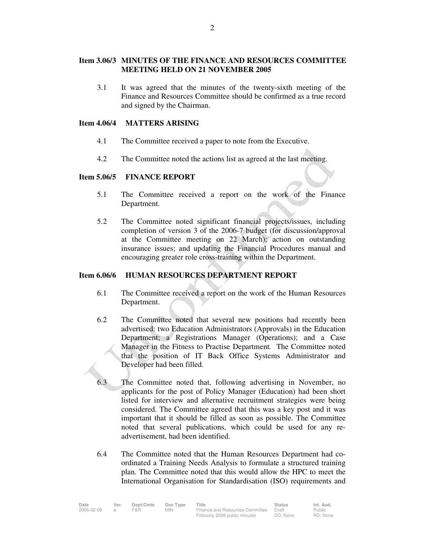## **Item 3.06/3 MINUTES OF THE FINANCE AND RESOURCES COMMITTEE MEETING HELD ON 21 NOVEMBER 2005**

 3.1 It was agreed that the minutes of the twenty-sixth meeting of the Finance and Resources Committee should be confirmed as a true record and signed by the Chairman.

### **Item 4.06/4 MATTERS ARISING**

- 4.1 The Committee received a paper to note from the Executive.
- 4.2 The Committee noted the actions list as agreed at the last meeting.

#### **Item 5.06/5 FINANCE REPORT**

- 5.1 The Committee received a report on the work of the Finance Department.
- 5.2 The Committee noted significant financial projects/issues, including completion of version 3 of the 2006-7 budget (for discussion/approval at the Committee meeting on 22 March); action on outstanding insurance issues; and updating the Financial Procedures manual and encouraging greater role cross-training within the Department.

### **Item 6.06/6 HUMAN RESOURCES DEPARTMENT REPORT**

- 6.1 The Committee received a report on the work of the Human Resources Department.
- 6.2 The Committee noted that several new positions had recently been advertised: two Education Administrators (Approvals) in the Education Department; a Registrations Manager (Operations); and a Case Manager in the Fitness to Practise Department. The Committee noted that the position of IT Back Office Systems Administrator and Developer had been filled.
- 6.3 The Committee noted that, following advertising in November, no applicants for the post of Policy Manager (Education) had been short listed for interview and alternative recruitment strategies were being considered. The Committee agreed that this was a key post and it was important that it should be filled as soon as possible. The Committee noted that several publications, which could be used for any readvertisement, had been identified.
- 6.4 The Committee noted that the Human Resources Department had coordinated a Training Needs Analysis to formulate a structured training plan. The Committee noted that this would allow the HPC to meet the International Organisation for Standardisation (ISO) requirements and

| 1 UHVIIV. |                                 |  |
|-----------|---------------------------------|--|
|           | Committee noted significant fin |  |

| Date       | Ver. | Dept/Cmte | Doc Type | Title                           | <b>Status</b> | Int. Aud. |
|------------|------|-----------|----------|---------------------------------|---------------|-----------|
| 2006-02-09 |      | F&R       | MIN      | Finance and Resources Committee | Draft         | Public    |
|            |      |           |          | February 2006 public minutes    | DD: None      | RD: None  |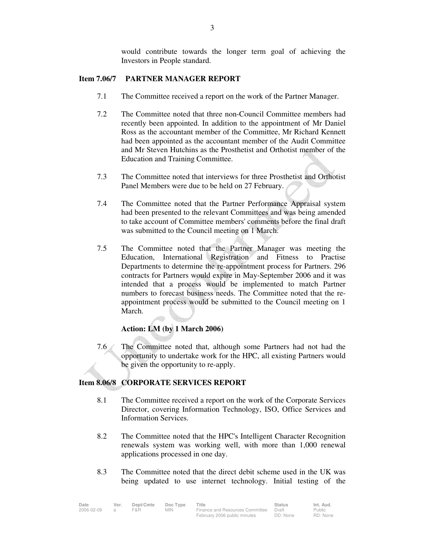would contribute towards the longer term goal of achieving the Investors in People standard.

### **Item 7.06/7 PARTNER MANAGER REPORT**

- 7.1 The Committee received a report on the work of the Partner Manager.
- 7.2 The Committee noted that three non-Council Committee members had recently been appointed. In addition to the appointment of Mr Daniel Ross as the accountant member of the Committee, Mr Richard Kennett had been appointed as the accountant member of the Audit Committee and Mr Steven Hutchins as the Prosthetist and Orthotist member of the Education and Training Committee.
- 7.3 The Committee noted that interviews for three Prosthetist and Orthotist Panel Members were due to be held on 27 February.
- 7.4 The Committee noted that the Partner Performance Appraisal system had been presented to the relevant Committees and was being amended to take account of Committee members' comments before the final draft was submitted to the Council meeting on 1 March.
- 7.5 The Committee noted that the Partner Manager was meeting the Education, International Registration and Fitness to Practise Departments to determine the re-appointment process for Partners. 296 contracts for Partners would expire in May-September 2006 and it was intended that a process would be implemented to match Partner numbers to forecast business needs. The Committee noted that the reappointment process would be submitted to the Council meeting on 1 March.

### **Action: LM (by 1 March 2006)**

 7.6 The Committee noted that, although some Partners had not had the opportunity to undertake work for the HPC, all existing Partners would be given the opportunity to re-apply.

### **Item 8.06/8 CORPORATE SERVICES REPORT**

- 8.1 The Committee received a report on the work of the Corporate Services Director, covering Information Technology, ISO, Office Services and Information Services.
- 8.2 The Committee noted that the HPC's Intelligent Character Recognition renewals system was working well, with more than 1,000 renewal applications processed in one day.
- 8.3 The Committee noted that the direct debit scheme used in the UK was being updated to use internet technology. Initial testing of the

| Date       | Ver. | Dept/Cmte | Doc Type | Title                           | <b>Status</b> | Int. Aud. |
|------------|------|-----------|----------|---------------------------------|---------------|-----------|
| 2006-02-09 |      | F&R       | MIN.     | Finance and Resources Committee | Draft         | Public    |
|            |      |           |          | February 2006 public minutes    | DD: None      | RD: None  |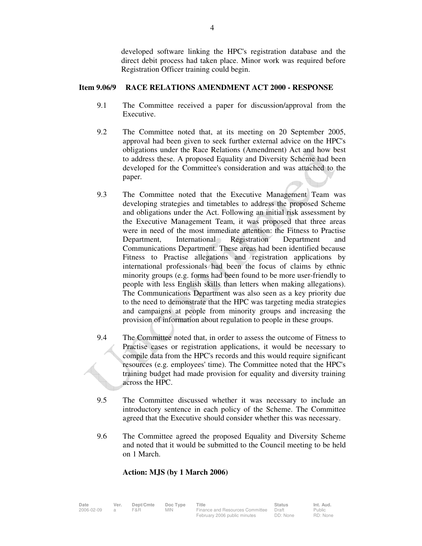developed software linking the HPC's registration database and the direct debit process had taken place. Minor work was required before Registration Officer training could begin.

### **Item 9.06/9 RACE RELATIONS AMENDMENT ACT 2000 - RESPONSE**

- 9.1 The Committee received a paper for discussion/approval from the Executive.
- 9.2 The Committee noted that, at its meeting on 20 September 2005, approval had been given to seek further external advice on the HPC's obligations under the Race Relations (Amendment) Act and how best to address these. A proposed Equality and Diversity Scheme had been developed for the Committee's consideration and was attached to the paper.
- 9.3 The Committee noted that the Executive Management Team was developing strategies and timetables to address the proposed Scheme and obligations under the Act. Following an initial risk assessment by the Executive Management Team, it was proposed that three areas were in need of the most immediate attention: the Fitness to Practise Department, International Registration Department and Communications Department. These areas had been identified because Fitness to Practise allegations and registration applications by international professionals had been the focus of claims by ethnic minority groups (e.g. forms had been found to be more user-friendly to people with less English skills than letters when making allegations). The Communications Department was also seen as a key priority due to the need to demonstrate that the HPC was targeting media strategies and campaigns at people from minority groups and increasing the provision of information about regulation to people in these groups.
- 9.4 The Committee noted that, in order to assess the outcome of Fitness to Practise cases or registration applications, it would be necessary to compile data from the HPC's records and this would require significant resources (e.g. employees' time). The Committee noted that the HPC's training budget had made provision for equality and diversity training across the HPC.
- 9.5 The Committee discussed whether it was necessary to include an introductory sentence in each policy of the Scheme. The Committee agreed that the Executive should consider whether this was necessary.
- 9.6 The Committee agreed the proposed Equality and Diversity Scheme and noted that it would be submitted to the Council meeting to be held on 1 March.

### **Action: MJS (by 1 March 2006)**

| Date       |      |           |            | Title                                 | <b>Status</b> | Int. Aud. |
|------------|------|-----------|------------|---------------------------------------|---------------|-----------|
|            | Ver. | Dept/Cmte | Doc Type   |                                       |               |           |
| 2006-02-09 |      | F&R       | <b>MIN</b> | Finance and Resources Committee Draft |               | Public    |
|            |      |           |            | February 2006 public minutes          | DD: None      | RD: None  |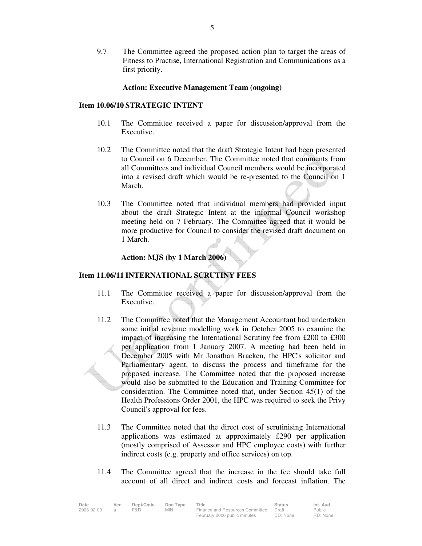9.7 The Committee agreed the proposed action plan to target the areas of Fitness to Practise, International Registration and Communications as a first priority.

### **Action: Executive Management Team (ongoing)**

#### **Item 10.06/10 STRATEGIC INTENT**

- 10.1 The Committee received a paper for discussion/approval from the Executive.
- 10.2 The Committee noted that the draft Strategic Intent had been presented to Council on 6 December. The Committee noted that comments from all Committees and individual Council members would be incorporated into a revised draft which would be re-presented to the Council on 1 March.
- 10.3 The Committee noted that individual members had provided input about the draft Strategic Intent at the informal Council workshop meeting held on 7 February. The Committee agreed that it would be more productive for Council to consider the revised draft document on 1 March.

### **Action: MJS (by 1 March 2006)**

### **Item 11.06/11 INTERNATIONAL SCRUTINY FEES**

- 11.1 The Committee received a paper for discussion/approval from the Executive.
- 11.2 The Committee noted that the Management Accountant had undertaken some initial revenue modelling work in October 2005 to examine the impact of increasing the International Scrutiny fee from £200 to £300 per application from 1 January 2007. A meeting had been held in December 2005 with Mr Jonathan Bracken, the HPC's solicitor and Parliamentary agent, to discuss the process and timeframe for the proposed increase. The Committee noted that the proposed increase would also be submitted to the Education and Training Committee for consideration. The Committee noted that, under Section 45(1) of the Health Professions Order 2001, the HPC was required to seek the Privy Council's approval for fees.
- 11.3 The Committee noted that the direct cost of scrutinising International applications was estimated at approximately £290 per application (mostly comprised of Assessor and HPC employee costs) with further indirect costs (e.g. property and office services) on top.
- 11.4 The Committee agreed that the increase in the fee should take full account of all direct and indirect costs and forecast inflation. The

| Date       | Ver. | Dept/Cmte | Doc Type   | Title                           | Status   | lnt. Aud. |
|------------|------|-----------|------------|---------------------------------|----------|-----------|
| 2006-02-09 |      | F&R       | <b>MIN</b> | Finance and Resources Committee | Draft    | Public    |
|            |      |           |            | February 2006 public minutes    | DD: None | RD: None  |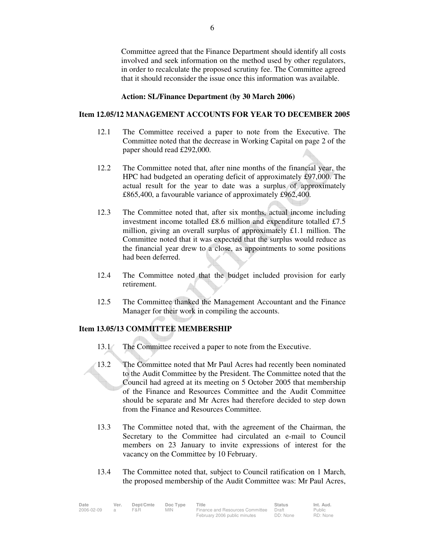Committee agreed that the Finance Department should identify all costs involved and seek information on the method used by other regulators, in order to recalculate the proposed scrutiny fee. The Committee agreed that it should reconsider the issue once this information was available.

#### **Action: SL/Finance Department (by 30 March 2006)**

## **Item 12.05/12 MANAGEMENT ACCOUNTS FOR YEAR TO DECEMBER 2005**

- 12.1 The Committee received a paper to note from the Executive. The Committee noted that the decrease in Working Capital on page 2 of the paper should read £292,000.
- 12.2 The Committee noted that, after nine months of the financial year, the HPC had budgeted an operating deficit of approximately £97,000. The actual result for the year to date was a surplus of approximately £865,400, a favourable variance of approximately £962,400.
- 12.3 The Committee noted that, after six months, actual income including investment income totalled £8.6 million and expenditure totalled £7.5 million, giving an overall surplus of approximately £1.1 million. The Committee noted that it was expected that the surplus would reduce as the financial year drew to a close, as appointments to some positions had been deferred.
- 12.4 The Committee noted that the budget included provision for early retirement.
- 12.5 The Committee thanked the Management Accountant and the Finance Manager for their work in compiling the accounts.

## **Item 13.05/13 COMMITTEE MEMBERSHIP**

- 13.1 The Committee received a paper to note from the Executive.
- 13.2 The Committee noted that Mr Paul Acres had recently been nominated to the Audit Committee by the President. The Committee noted that the Council had agreed at its meeting on 5 October 2005 that membership of the Finance and Resources Committee and the Audit Committee should be separate and Mr Acres had therefore decided to step down from the Finance and Resources Committee.
- 13.3 The Committee noted that, with the agreement of the Chairman, the Secretary to the Committee had circulated an e-mail to Council members on 23 January to invite expressions of interest for the vacancy on the Committee by 10 February.
- 13.4 The Committee noted that, subject to Council ratification on 1 March, the proposed membership of the Audit Committee was: Mr Paul Acres,

| Date       | Ver. | Dept/Cmte | Doc Type   | Title                           | Status   | Int. Aud. |
|------------|------|-----------|------------|---------------------------------|----------|-----------|
| 2006-02-09 |      | F&R       | <b>MIN</b> | Finance and Resources Committee | Draft    | Public    |
|            |      |           |            | February 2006 public minutes    | DD: None | RD: None  |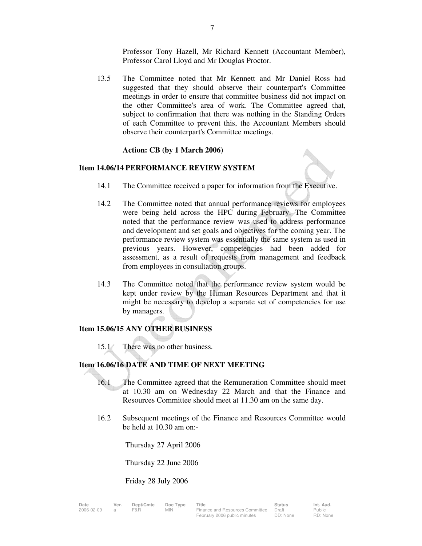Professor Tony Hazell, Mr Richard Kennett (Accountant Member), Professor Carol Lloyd and Mr Douglas Proctor.

 13.5 The Committee noted that Mr Kennett and Mr Daniel Ross had suggested that they should observe their counterpart's Committee meetings in order to ensure that committee business did not impact on the other Committee's area of work. The Committee agreed that, subject to confirmation that there was nothing in the Standing Orders of each Committee to prevent this, the Accountant Members should observe their counterpart's Committee meetings.

### **Action: CB (by 1 March 2006)**

### **Item 14.06/14 PERFORMANCE REVIEW SYSTEM**

- 14.1 The Committee received a paper for information from the Executive.
- 14.2 The Committee noted that annual performance reviews for employees were being held across the HPC during February. The Committee noted that the performance review was used to address performance and development and set goals and objectives for the coming year. The performance review system was essentially the same system as used in previous years. However, competencies had been added for assessment, as a result of requests from management and feedback from employees in consultation groups.
- 14.3 The Committee noted that the performance review system would be kept under review by the Human Resources Department and that it might be necessary to develop a separate set of competencies for use by managers.

### **Item 15.06/15 ANY OTHER BUSINESS**

15.1 There was no other business.

### **Item 16.06/16 DATE AND TIME OF NEXT MEETING**

- 16.1 The Committee agreed that the Remuneration Committee should meet at 10.30 am on Wednesday 22 March and that the Finance and Resources Committee should meet at 11.30 am on the same day.
- 16.2 Subsequent meetings of the Finance and Resources Committee would be held at 10.30 am on:-

Thursday 27 April 2006

Thursday 22 June 2006

Friday 28 July 2006

| ıte      |   |
|----------|---|
| 06-02-09 | а |